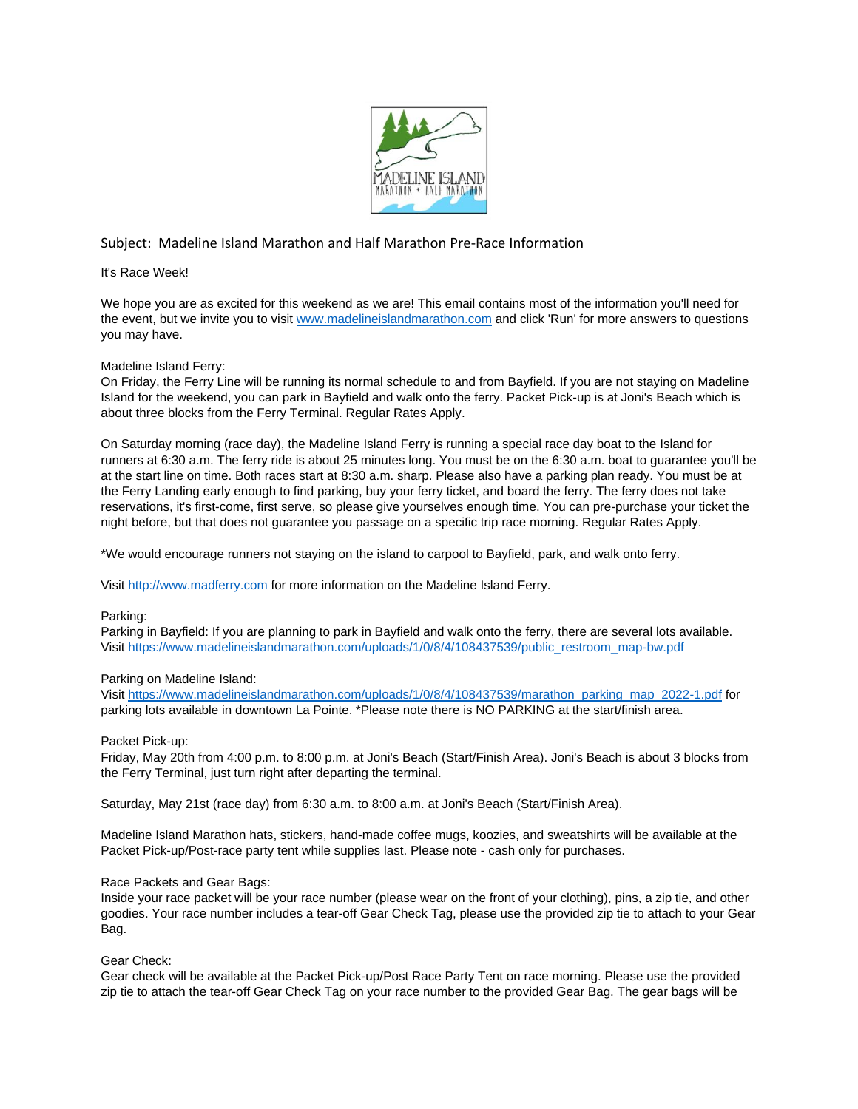

# Subject: Madeline Island Marathon and Half Marathon Pre-Race Information

It's Race Week!

We hope you are as excited for this weekend as we are! This email contains most of the information you'll need for the event, but we invite you to visit [www.madelineislandmarathon.com](http://www.madelineislandmarathon.com/) and click 'Run' for more answers to questions you may have.

# Madeline Island Ferry:

On Friday, the Ferry Line will be running its normal schedule to and from Bayfield. If you are not staying on Madeline Island for the weekend, you can park in Bayfield and walk onto the ferry. Packet Pick-up is at Joni's Beach which is about three blocks from the Ferry Terminal. Regular Rates Apply.

On Saturday morning (race day), the Madeline Island Ferry is running a special race day boat to the Island for runners at 6:30 a.m. The ferry ride is about 25 minutes long. You must be on the 6:30 a.m. boat to guarantee you'll be at the start line on time. Both races start at 8:30 a.m. sharp. Please also have a parking plan ready. You must be at the Ferry Landing early enough to find parking, buy your ferry ticket, and board the ferry. The ferry does not take reservations, it's first-come, first serve, so please give yourselves enough time. You can pre-purchase your ticket the night before, but that does not guarantee you passage on a specific trip race morning. Regular Rates Apply.

\*We would encourage runners not staying on the island to carpool to Bayfield, park, and walk onto ferry.

Visit [http://www.madferry.com](http://www.madferry.com/) for more information on the Madeline Island Ferry.

# Parking:

Parking in Bayfield: If you are planning to park in Bayfield and walk onto the ferry, there are several lots available. Visit [https://www.madelineislandmarathon.com/uploads/1/0/8/4/108437539/public\\_restroom\\_map-bw.pdf](https://www.madelineislandmarathon.com/uploads/1/0/8/4/108437539/public_restroom_map-bw.pdf)

# Parking on Madeline Island:

Visit [https://www.madelineislandmarathon.com/uploads/1/0/8/4/108437539/marathon\\_parking\\_map\\_2022-1.pdf](https://www.madelineislandmarathon.com/uploads/1/0/8/4/108437539/marathon_parking_map_2022-1.pdf) for parking lots available in downtown La Pointe. \*Please note there is NO PARKING at the start/finish area.

# Packet Pick-up:

Friday, May 20th from 4:00 p.m. to 8:00 p.m. at Joni's Beach (Start/Finish Area). Joni's Beach is about 3 blocks from the Ferry Terminal, just turn right after departing the terminal.

Saturday, May 21st (race day) from 6:30 a.m. to 8:00 a.m. at Joni's Beach (Start/Finish Area).

Madeline Island Marathon hats, stickers, hand-made coffee mugs, koozies, and sweatshirts will be available at the Packet Pick-up/Post-race party tent while supplies last. Please note - cash only for purchases.

# Race Packets and Gear Bags:

Inside your race packet will be your race number (please wear on the front of your clothing), pins, a zip tie, and other goodies. Your race number includes a tear-off Gear Check Tag, please use the provided zip tie to attach to your Gear Bag.

# Gear Check:

Gear check will be available at the Packet Pick-up/Post Race Party Tent on race morning. Please use the provided zip tie to attach the tear-off Gear Check Tag on your race number to the provided Gear Bag. The gear bags will be